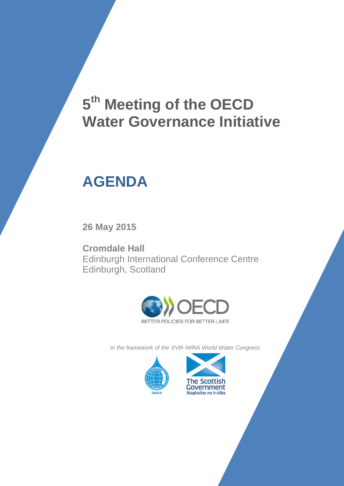# **5 th Meeting of the OECD Water Governance Initiative**

## **AGENDA**

**26 May 2015**

**Cromdale Hall** Edinburgh International Conference Centre Edinburgh, Scotland



*In the framework of the XVth IWRA World Water Congress* 



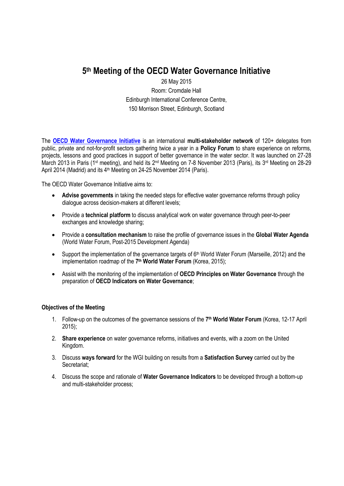### **5 th Meeting of the OECD Water Governance Initiative**

26 May 2015 Room: Cromdale Hall Edinburgh International Conference Centre, 150 Morrison Street, Edinburgh, Scotland

The **[OECD Water Governance Initiative](http://www.oecd.org/gov/regional-policy/OECD-WGI-Brochure.pdf)** is an international **multi-stakeholder network** of 120+ delegates from public, private and not-for-profit sectors gathering twice a year in a **Policy Forum** to share experience on reforms, projects, lessons and good practices in support of better governance in the water sector. It was launched on 27-28 March 2013 in Paris (1<sup>st</sup> meeting), and held its 2<sup>nd</sup> Meeting on 7-8 November 2013 (Paris), its 3<sup>rd</sup> Meeting on 28-29 April 2014 (Madrid) and its 4<sup>th</sup> Meeting on 24-25 November 2014 (Paris).

The OECD Water Governance Initiative aims to:

- **Advise governments** in taking the needed steps for effective water governance reforms through policy dialogue across decision-makers at different levels;
- Provide a **technical platform** to discuss analytical work on water governance through peer-to-peer exchanges and knowledge sharing;
- Provide a **consultation mechanism** to raise the profile of governance issues in the **Global Water Agenda** (World Water Forum, Post-2015 Development Agenda)
- Support the implementation of the governance targets of 6<sup>th</sup> World Water Forum (Marseille, 2012) and the implementation roadmap of the **7 th World Water Forum** (Korea, 2015);
- Assist with the monitoring of the implementation of **OECD Principles on Water Governance** through the preparation of **OECD Indicators on Water Governance**;

#### **Objectives of the Meeting**

- 1. Follow-up on the outcomes of the governance sessions of the **7 th World Water Forum** (Korea, 12-17 April 2015);
- 2. **Share experience** on water governance reforms, initiatives and events, with a zoom on the United Kingdom.
- 3. Discuss **ways forward** for the WGI building on results from a **Satisfaction Survey** carried out by the Secretariat;
- 4. Discuss the scope and rationale of **Water Governance Indicators** to be developed through a bottom-up and multi-stakeholder process;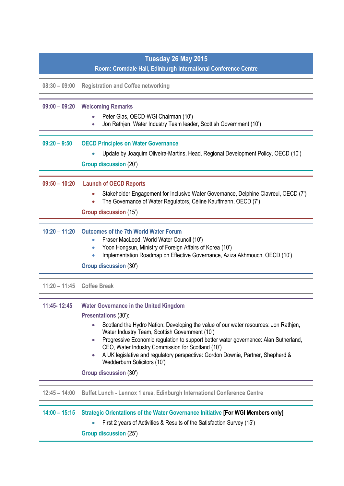| Tuesday 26 May 2015 |                                                                                                                                                                                                                                                                                                                                                                                                                                                                                                                                    |
|---------------------|------------------------------------------------------------------------------------------------------------------------------------------------------------------------------------------------------------------------------------------------------------------------------------------------------------------------------------------------------------------------------------------------------------------------------------------------------------------------------------------------------------------------------------|
|                     | Room: Cromdale Hall, Edinburgh International Conference Centre                                                                                                                                                                                                                                                                                                                                                                                                                                                                     |
| $08:30 - 09:00$     | <b>Registration and Coffee networking</b>                                                                                                                                                                                                                                                                                                                                                                                                                                                                                          |
| $09:00 - 09:20$     | <b>Welcoming Remarks</b><br>Peter Glas, OECD-WGI Chairman (10')<br>Jon Rathjen, Water Industry Team leader, Scottish Government (10')                                                                                                                                                                                                                                                                                                                                                                                              |
| $09:20 - 9:50$      | <b>OECD Principles on Water Governance</b><br>Update by Joaquim Oliveira-Martins, Head, Regional Development Policy, OECD (10')<br><b>Group discussion (20')</b>                                                                                                                                                                                                                                                                                                                                                                   |
| $09:50 - 10:20$     | <b>Launch of OECD Reports</b><br>Stakeholder Engagement for Inclusive Water Governance, Delphine Clavreul, OECD (7')<br>The Governance of Water Regulators, Céline Kauffmann, OECD (7')<br><b>Group discussion (15')</b>                                                                                                                                                                                                                                                                                                           |
| $10:20 - 11:20$     | <b>Outcomes of the 7th World Water Forum</b><br>Fraser MacLeod, World Water Council (10')<br>Yoon Hongsun, Ministry of Foreign Affairs of Korea (10')<br>Implementation Roadmap on Effective Governance, Aziza Akhmouch, OECD (10')<br>Group discussion (30')                                                                                                                                                                                                                                                                      |
|                     | 11:20 - 11:45 Coffee Break                                                                                                                                                                                                                                                                                                                                                                                                                                                                                                         |
| 11:45-12:45         | <b>Water Governance in the United Kingdom</b><br>Presentations (30'):<br>Scotland the Hydro Nation: Developing the value of our water resources: Jon Rathjen,<br>Water Industry Team, Scottish Government (10')<br>Progressive Economic regulation to support better water governance: Alan Sutherland,<br>$\bullet$<br>CEO, Water Industry Commission for Scotland (10')<br>A UK legislative and regulatory perspective: Gordon Downie, Partner, Shepherd &<br>$\bullet$<br>Wedderburn Solicitors (10')<br>Group discussion (30') |
| $12:45 - 14:00$     | Buffet Lunch - Lennox 1 area, Edinburgh International Conference Centre                                                                                                                                                                                                                                                                                                                                                                                                                                                            |
| $14:00 - 15:15$     | Strategic Orientations of the Water Governance Initiative [For WGI Members only]<br>First 2 years of Activities & Results of the Satisfaction Survey (15')<br><b>Group discussion (25')</b>                                                                                                                                                                                                                                                                                                                                        |